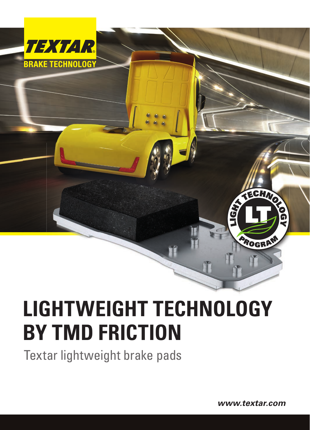

# **LIGHTWEIGHT TECHNOLOGY BY TMD FRICTION**

Textar lightweight brake pads

*www.textar.com*

**SECTION** 

PROGRAM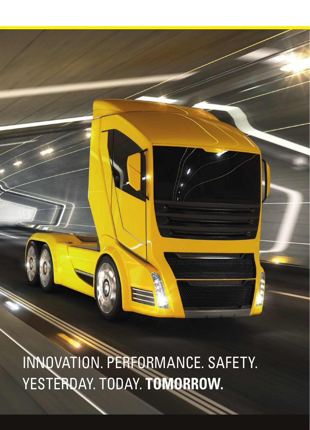INNOVATION. PERFORMANCE. SAFETY. YESTERDAY. TODAY. **TOMORROW.**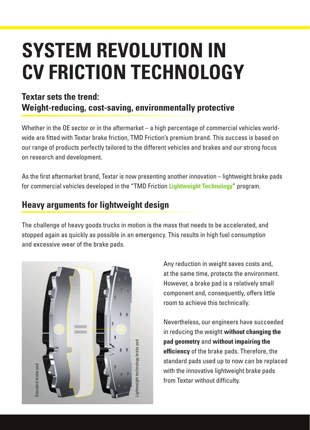## **SYSTEM REVOLUTION IN CV FRICTION TECHNOLOGY**

#### **Textar sets the trend: Weight-reducing, cost-saving, environmentally protective**

Whether in the OE sector or in the aftermarket – a high percentage of commercial vehicles worldwide are fitted with Textar brake friction, TMD Friction's premium brand. This success is based on our range of products perfectly tailored to the different vehicles and brakes and our strong focus on research and development.

As the first aftermarket brand, Textar is now presenting another innovation – lightweight brake pads for commercial vehicles developed in the "TMD Friction **Lightweight Technology**" program.

#### **Heavy arguments for lightweight design**

The challenge of heavy goods trucks in motion is the mass that needs to be accelerated, and stopped again as quickly as possible in an emergency. This results in high fuel consumption and excessive wear of the brake pads.



Any reduction in weight saves costs and, at the same time, protects the environment. However, a brake pad is a relatively small component and, consequently, offers little room to achieve this technically.

Nevertheless, our engineers have succeeded in reducing the weight **without changing the pad geometry** and **without impairing the efficiency** of the brake pads. Therefore, the standard pads used up to now can be replaced with the innovative lightweight brake pads from Textar without difficulty.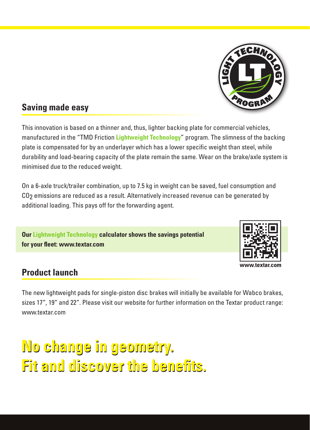

#### **Saving made easy**

This innovation is based on a thinner and, thus, lighter backing plate for commercial vehicles, manufactured in the "TMD Friction **Lightweight Technology**" program. The slimness of the backing plate is compensated for by an underlayer which has a lower specific weight than steel, while durability and load-bearing capacity of the plate remain the same. Wear on the brake/axle system is minimised due to the reduced weight.

On a 6-axle truck/trailer combination, up to 7.5 kg in weight can be saved, fuel consumption and CO2 emissions are reduced as a result. Alternatively increased revenue can be generated by additional loading. This pays off for the forwarding agent.

**Our Lightweight Technology calculator shows the savings potential**  for your fleet: www.textar.com



#### **Product launch**

The new lightweight pads for single-piston disc brakes will initially be available for Wabco brakes, sizes 17", 19" and 22". Please visit our website for further information on the Textar product range: www.textar.com

### **No change in geometry. No change in geometry.**  Fit and discover the benefits.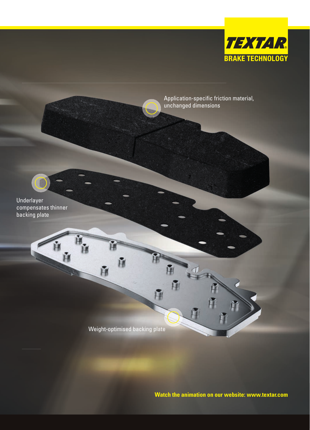

Application-specific friction material, unchanged dimensions

Underlayer compensates thinner backing plate

Weight-optimised backing plate

H

**Watch the animation on our website: www.textar.com**